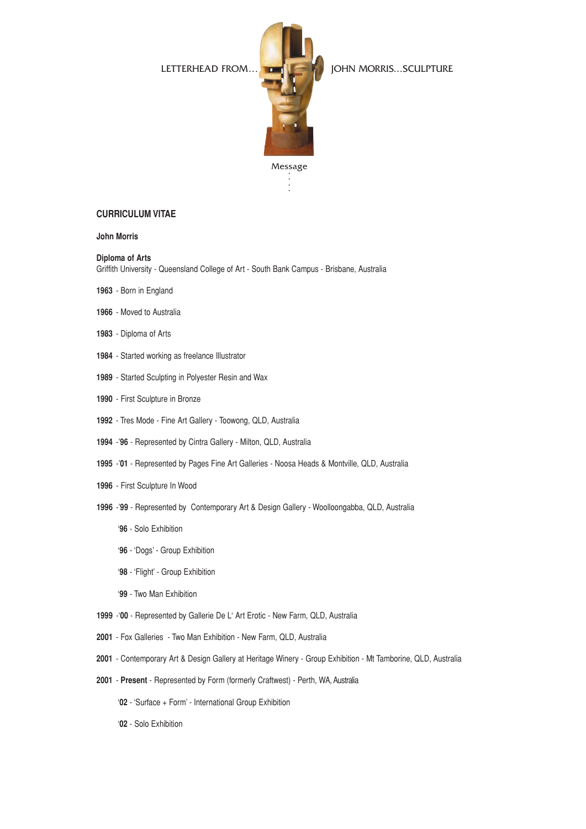

. . . .

LETTERHEAD FROM... **JOHN MORRIS...SCULPTURE** 

## **CURRICULUM VITAE**

**John Morris** 

#### **Diploma of Arts**

Griffith University - Queensland College of Art - South Bank Campus - Brisbane, Australia

- **1963**  Born in England
- **1966**  Moved to Australia
- **1983**  Diploma of Arts
- **1984**  Started working as freelance Illustrator
- **1989**  Started Sculpting in Polyester Resin and Wax
- **1990** First Sculpture in Bronze
- **1992** Tres Mode Fine Art Gallery Toowong, QLD, Australia
- **1994** -'**96** Represented by Cintra Gallery Milton, QLD, Australia
- **1995** -'**01** Represented by Pages Fine Art Galleries Noosa Heads & Montville, QLD, Australia
- **1996** First Sculpture In Wood
- **1996** -'**99** Represented by Contemporary Art & Design Gallery Woolloongabba, QLD, Australia
	- '**96** Solo Exhibition
	- '**96** 'Dogs' Group Exhibition
	- '**98** 'Flight' Group Exhibition
	- '**99** Two Man Exhibition
- **1999** -'**00** Represented by Gallerie De L' Art Erotic New Farm, QLD, Australia
- **2001** Fox Galleries Two Man Exhibition New Farm, QLD, Australia
- **2001** Contemporary Art & Design Gallery at Heritage Winery Group Exhibition Mt Tamborine, QLD, Australia
- **2001 Present**  Represented by Form (formerly Craftwest) Perth, WA, Australia
	- '**02** 'Surface + Form' International Group Exhibition
	- '**02** Solo Exhibition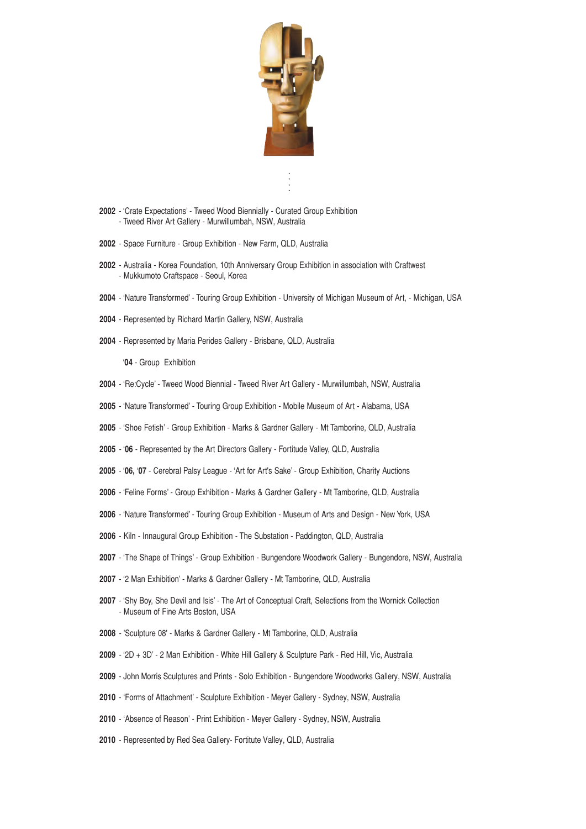

- . . . .
- 'Crate Expectations' Tweed Wood Biennially Curated Group Exhibition - Tweed River Art Gallery - Murwillumbah, NSW, Australia
- Space Furniture Group Exhibition New Farm, QLD, Australia
- Australia Korea Foundation, 10th Anniversary Group Exhibition in association with Craftwest - Mukkumoto Craftspace - Seoul, Korea
- 'Nature Transformed' Touring Group Exhibition University of Michigan Museum of Art, Michigan, USA
- Represented by Richard Martin Gallery, NSW, Australia
- Represented by Maria Perides Gallery Brisbane, QLD, Australia

'**04** - Group Exhibition

- 'Re:Cycle' Tweed Wood Biennial Tweed River Art Gallery Murwillumbah, NSW, Australia
- 'Nature Transformed' Touring Group Exhibition Mobile Museum of Art Alabama, USA
- 'Shoe Fetish' Group Exhibition Marks & Gardner Gallery Mt Tamborine, QLD, Australia
- '**06**  Represented by the Art Directors Gallery Fortitude Valley, QLD, Australia
- '**06,** '**07**  Cerebral Palsy League 'Art for Art's Sake' Group Exhibition, Charity Auctions
- 'Feline Forms' Group Exhibition Marks & Gardner Gallery Mt Tamborine, QLD, Australia
- 'Nature Transformed' Touring Group Exhibition Museum of Arts and Design New York, USA
- Kiln Innaugural Group Exhibition The Substation Paddington, QLD, Australia
- 'The Shape of Things' Group Exhibition Bungendore Woodwork Gallery Bungendore, NSW, Australia
- '2 Man Exhibition' Marks & Gardner Gallery Mt Tamborine, QLD, Australia
- 'Shy Boy, She Devil and Isis' The Art of Conceptual Craft, Selections from the Wornick Collection - Museum of Fine Arts Boston, USA
- 'Sculpture 08' Marks & Gardner Gallery Mt Tamborine, QLD, Australia
- '2D + 3D' 2 Man Exhibition White Hill Gallery & Sculpture Park Red Hill, Vic, Australia
- John Morris Sculptures and Prints Solo Exhibition Bungendore Woodworks Gallery, NSW, Australia
- 'Forms of Attachment' Sculpture Exhibition Meyer Gallery Sydney, NSW, Australia
- 'Absence of Reason' Print Exhibition Meyer Gallery Sydney, NSW, Australia
- Represented by Red Sea Gallery- Fortitute Valley, QLD, Australia